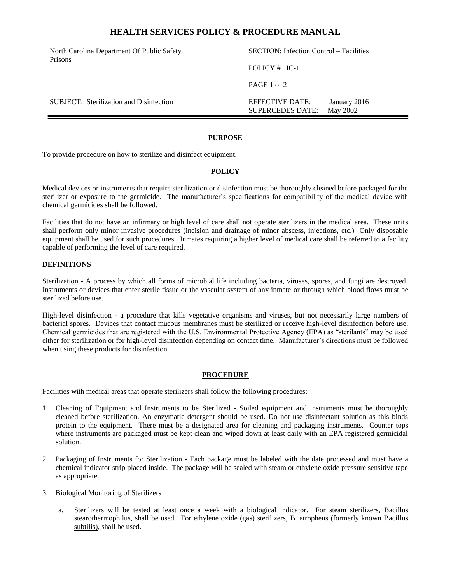## **HEALTH SERVICES POLICY & PROCEDURE MANUAL**

North Carolina Department Of Public Safety Prisons

SUBJECT: Sterilization and Disinfection EFFECTIVE DATE: January 2016

# SECTION: Infection Control – Facilities POLICY # IC-1 PAGE 1 of 2

SUPERCEDES DATE: May 2002

### **PURPOSE**

To provide procedure on how to sterilize and disinfect equipment.

### **POLICY**

Medical devices or instruments that require sterilization or disinfection must be thoroughly cleaned before packaged for the sterilizer or exposure to the germicide. The manufacturer's specifications for compatibility of the medical device with chemical germicides shall be followed.

Facilities that do not have an infirmary or high level of care shall not operate sterilizers in the medical area. These units shall perform only minor invasive procedures (incision and drainage of minor abscess, injections, etc.) Only disposable equipment shall be used for such procedures. Inmates requiring a higher level of medical care shall be referred to a facility capable of performing the level of care required.

#### **DEFINITIONS**

Sterilization - A process by which all forms of microbial life including bacteria, viruses, spores, and fungi are destroyed. Instruments or devices that enter sterile tissue or the vascular system of any inmate or through which blood flows must be sterilized before use.

High-level disinfection - a procedure that kills vegetative organisms and viruses, but not necessarily large numbers of bacterial spores. Devices that contact mucous membranes must be sterilized or receive high-level disinfection before use. Chemical germicides that are registered with the U.S. Environmental Protective Agency (EPA) as "sterilants" may be used either for sterilization or for high-level disinfection depending on contact time. Manufacturer's directions must be followed when using these products for disinfection.

### **PROCEDURE**

Facilities with medical areas that operate sterilizers shall follow the following procedures:

- 1. Cleaning of Equipment and Instruments to be Sterilized Soiled equipment and instruments must be thoroughly cleaned before sterilization. An enzymatic detergent should be used. Do not use disinfectant solution as this binds protein to the equipment. There must be a designated area for cleaning and packaging instruments. Counter tops where instruments are packaged must be kept clean and wiped down at least daily with an EPA registered germicidal solution.
- 2. Packaging of Instruments for Sterilization Each package must be labeled with the date processed and must have a chemical indicator strip placed inside. The package will be sealed with steam or ethylene oxide pressure sensitive tape as appropriate.
- 3. Biological Monitoring of Sterilizers
	- a. Sterilizers will be tested at least once a week with a biological indicator. For steam sterilizers, Bacillus stearothermophilus, shall be used. For ethylene oxide (gas) sterilizers, B. atropheus (formerly known Bacillus subtilis), shall be used.